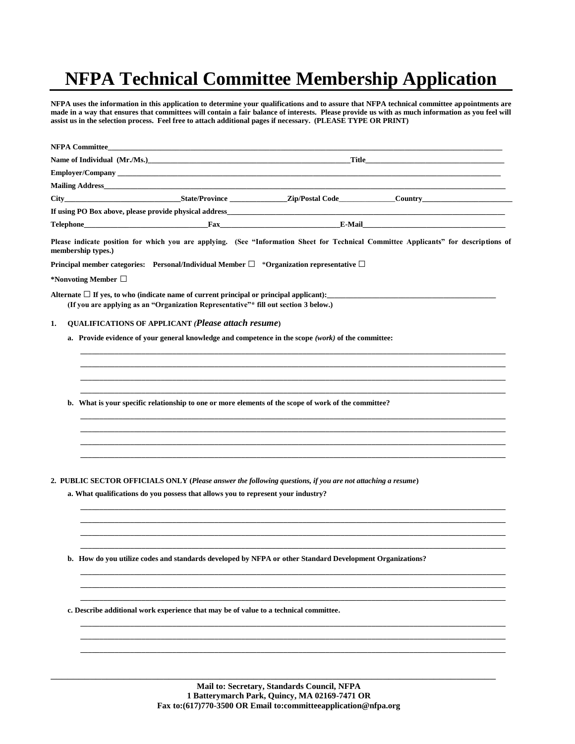# **NFPA Technical Committee Membership Application**

**NFPA uses the information in this application to determine your qualifications and to assure that NFPA technical committee appointments are**  made in a way that ensures that committees will contain a fair balance of interests. Please provide us with as much information as you feel will **assist us in the selection process. Feel free to attach additional pages if necessary. (PLEASE TYPE OR PRINT)**

| <b>NFPA Committee_</b>                                                                                         | <u> 1980 - Johann John Harry Harry Harry Harry Harry Harry Harry Harry Harry Harry Harry Harry Harry Harry Harry H</u>                                                                          |              |                                                                                                                                      |  |
|----------------------------------------------------------------------------------------------------------------|-------------------------------------------------------------------------------------------------------------------------------------------------------------------------------------------------|--------------|--------------------------------------------------------------------------------------------------------------------------------------|--|
| Name of Individual (Mr./Ms.) https://www.com/community/community/community/community/community/community/commu |                                                                                                                                                                                                 | <b>Title</b> |                                                                                                                                      |  |
|                                                                                                                |                                                                                                                                                                                                 |              |                                                                                                                                      |  |
|                                                                                                                |                                                                                                                                                                                                 |              |                                                                                                                                      |  |
|                                                                                                                |                                                                                                                                                                                                 |              |                                                                                                                                      |  |
|                                                                                                                |                                                                                                                                                                                                 |              |                                                                                                                                      |  |
|                                                                                                                |                                                                                                                                                                                                 |              |                                                                                                                                      |  |
| membership types.)                                                                                             |                                                                                                                                                                                                 |              | Please indicate position for which you are applying. (See "Information Sheet for Technical Committee Applicants" for descriptions of |  |
|                                                                                                                | Principal member categories: Personal/Individual Member $\square$ *Organization representative $\square$                                                                                        |              |                                                                                                                                      |  |
| *Nonvoting Member $\Box$                                                                                       |                                                                                                                                                                                                 |              |                                                                                                                                      |  |
|                                                                                                                | Alternate $\Box$ If yes, to who (indicate name of current principal or principal applicant):<br>(If you are applying as an "Organization Representative"* fill out section 3 below.)            |              |                                                                                                                                      |  |
| 1.                                                                                                             | <b>QUALIFICATIONS OF APPLICANT (Please attach resume)</b>                                                                                                                                       |              |                                                                                                                                      |  |
|                                                                                                                | a. Provide evidence of your general knowledge and competence in the scope $(work)$ of the committee:                                                                                            |              |                                                                                                                                      |  |
|                                                                                                                |                                                                                                                                                                                                 |              |                                                                                                                                      |  |
|                                                                                                                |                                                                                                                                                                                                 |              |                                                                                                                                      |  |
|                                                                                                                |                                                                                                                                                                                                 |              |                                                                                                                                      |  |
| b.                                                                                                             | What is your specific relationship to one or more elements of the scope of work of the committee?                                                                                               |              |                                                                                                                                      |  |
|                                                                                                                |                                                                                                                                                                                                 |              |                                                                                                                                      |  |
|                                                                                                                |                                                                                                                                                                                                 |              |                                                                                                                                      |  |
|                                                                                                                | 2. PUBLIC SECTOR OFFICIALS ONLY (Please answer the following questions, if you are not attaching a resume)<br>a. What qualifications do you possess that allows you to represent your industry? |              |                                                                                                                                      |  |
|                                                                                                                |                                                                                                                                                                                                 |              |                                                                                                                                      |  |
|                                                                                                                | b. How do you utilize codes and standards developed by NFPA or other Standard Development Organizations?                                                                                        |              |                                                                                                                                      |  |
|                                                                                                                |                                                                                                                                                                                                 |              |                                                                                                                                      |  |
|                                                                                                                | c. Describe additional work experience that may be of value to a technical committee.                                                                                                           |              |                                                                                                                                      |  |
|                                                                                                                |                                                                                                                                                                                                 |              |                                                                                                                                      |  |
|                                                                                                                |                                                                                                                                                                                                 |              |                                                                                                                                      |  |

\_\_\_\_\_\_\_\_\_\_\_\_\_\_\_\_\_\_\_\_\_\_\_\_\_\_\_\_\_\_\_\_\_\_\_\_\_\_\_\_\_\_\_\_\_\_\_\_\_\_\_\_\_\_\_\_\_\_\_\_\_\_\_\_\_\_\_\_\_\_\_\_\_\_\_\_\_\_\_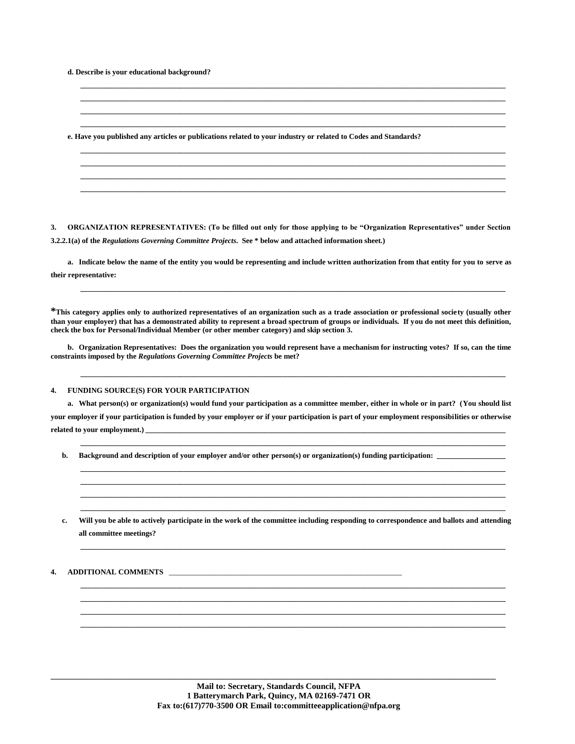**d. Describe is your educational background?**

**\_\_\_\_\_\_\_\_\_\_\_\_\_\_\_\_\_\_\_\_\_\_\_\_\_\_\_\_\_\_\_\_\_\_\_\_\_\_\_\_\_\_\_\_\_\_\_\_\_\_\_\_\_\_\_\_\_\_\_\_\_\_\_\_\_\_\_\_\_\_\_\_\_\_\_\_\_\_\_\_\_\_\_\_\_\_\_\_\_\_\_\_\_\_\_\_\_\_\_\_\_\_\_\_\_\_\_\_\_\_\_ \_\_\_\_\_\_\_\_\_\_\_\_\_\_\_\_\_\_\_\_\_\_\_\_\_\_\_\_\_\_\_\_\_\_\_\_\_\_\_\_\_\_\_\_\_\_\_\_\_\_\_\_\_\_\_\_\_\_\_\_\_\_\_\_\_\_\_\_\_\_\_\_\_\_\_\_\_\_\_\_\_\_\_\_\_\_\_\_\_\_\_\_\_\_\_\_\_\_\_\_\_\_\_\_\_\_\_\_\_\_\_ \_\_\_\_\_\_\_\_\_\_\_\_\_\_\_\_\_\_\_\_\_\_\_\_\_\_\_\_\_\_\_\_\_\_\_\_\_\_\_\_\_\_\_\_\_\_\_\_\_\_\_\_\_\_\_\_\_\_\_\_\_\_\_\_\_\_\_\_\_\_\_\_\_\_\_\_\_\_\_\_\_\_\_\_\_\_\_\_\_\_\_\_\_\_\_\_\_\_\_\_\_\_\_\_\_\_\_\_\_\_\_ e. Have you published any articles or publications related to your industry or related to Codes and Standards? \_\_\_\_\_\_\_\_\_\_\_\_\_\_\_\_\_\_\_\_\_\_\_\_\_\_\_\_\_\_\_\_\_\_\_\_\_\_\_\_\_\_\_\_\_\_\_\_\_\_\_\_\_\_\_\_\_\_\_\_\_\_\_\_\_\_\_\_\_\_\_\_\_\_\_\_\_\_\_\_\_\_\_\_\_\_\_\_\_\_\_\_\_\_\_\_\_\_\_\_\_\_\_\_\_\_\_\_\_\_\_ \_\_\_\_\_\_\_\_\_\_\_\_\_\_\_\_\_\_\_\_\_\_\_\_\_\_\_\_\_\_\_\_\_\_\_\_\_\_\_\_\_\_\_\_\_\_\_\_\_\_\_\_\_\_\_\_\_\_\_\_\_\_\_\_\_\_\_\_\_\_\_\_\_\_\_\_\_\_\_\_\_\_\_\_\_\_\_\_\_\_\_\_\_\_\_\_\_\_\_\_\_\_\_\_\_\_\_\_\_\_\_ \_\_\_\_\_\_\_\_\_\_\_\_\_\_\_\_\_\_\_\_\_\_\_\_\_\_\_\_\_\_\_\_\_\_\_\_\_\_\_\_\_\_\_\_\_\_\_\_\_\_\_\_\_\_\_\_\_\_\_\_\_\_\_\_\_\_\_\_\_\_\_\_\_\_\_\_\_\_\_\_\_\_\_\_\_\_\_\_\_\_\_\_\_\_\_\_\_\_\_\_\_\_\_\_\_\_\_\_\_\_\_ \_\_\_\_\_\_\_\_\_\_\_\_\_\_\_\_\_\_\_\_\_\_\_\_\_\_\_\_\_\_\_\_\_\_\_\_\_\_\_\_\_\_\_\_\_\_\_\_\_\_\_\_\_\_\_\_\_\_\_\_\_\_\_\_\_\_\_\_\_\_\_\_\_\_\_\_\_\_\_\_\_\_\_\_\_\_\_\_\_\_\_\_\_\_\_\_\_\_\_\_\_\_\_\_\_\_\_\_\_\_\_**

**\_\_\_\_\_\_\_\_\_\_\_\_\_\_\_\_\_\_\_\_\_\_\_\_\_\_\_\_\_\_\_\_\_\_\_\_\_\_\_\_\_\_\_\_\_\_\_\_\_\_\_\_\_\_\_\_\_\_\_\_\_\_\_\_\_\_\_\_\_\_\_\_\_\_\_\_\_\_\_\_\_\_\_\_\_\_\_\_\_\_\_\_\_\_\_\_\_\_\_\_\_\_\_\_\_\_\_\_\_\_\_**

**3. ORGANIZATION REPRESENTATIVES: (To be filled out only for those applying to be "Organization Representatives" under Section 3.2.2.1(a) of the** *Regulations Governing Committee Projects***. See \* below and attached information sheet.)**

**a. Indicate below the name of the entity you would be representing and include written authorization from that entity for you to serve as their representative:**

**\_\_\_\_\_\_\_\_\_\_\_\_\_\_\_\_\_\_\_\_\_\_\_\_\_\_\_\_\_\_\_\_\_\_\_\_\_\_\_\_\_\_\_\_\_\_\_\_\_\_\_\_\_\_\_\_\_\_\_\_\_\_\_\_\_\_\_\_\_\_\_\_\_\_\_\_\_\_\_\_\_\_\_\_\_\_\_\_\_\_\_\_\_\_\_\_\_\_\_\_\_\_\_\_\_\_\_\_\_\_\_**

**\*This category applies only to authorized representatives of an organization such as a trade association or professional society (usually other than your employer) that has a demonstrated ability to represent a broad spectrum of groups or individuals. If you do not meet this definition, check the box for Personal/Individual Member (or other member category) and skip section 3.**

**b. Organization Representatives: Does the organization you would represent have a mechanism for instructing votes? If so, can the time constraints imposed by the** *Regulations Governing Committee Projects* **be met?**

**\_\_\_\_\_\_\_\_\_\_\_\_\_\_\_\_\_\_\_\_\_\_\_\_\_\_\_\_\_\_\_\_\_\_\_\_\_\_\_\_\_\_\_\_\_\_\_\_\_\_\_\_\_\_\_\_\_\_\_\_\_\_\_\_\_\_\_\_\_\_\_\_\_\_\_\_\_\_\_\_\_\_\_\_\_\_\_\_\_\_\_\_\_\_\_\_\_\_\_\_\_\_\_\_\_\_\_\_\_\_\_**

**\_\_\_\_\_\_\_\_\_\_\_\_\_\_\_\_\_\_\_\_\_\_\_\_\_\_\_\_\_\_\_\_\_\_\_\_\_\_\_\_\_\_\_\_\_\_\_\_\_\_\_\_\_\_\_\_\_\_\_\_\_\_\_\_\_\_\_\_\_\_\_\_\_\_\_\_\_\_\_\_\_\_\_\_\_\_\_\_\_\_\_\_\_\_\_\_\_\_\_\_\_\_\_\_\_\_\_\_\_\_\_**

**\_\_\_\_\_\_\_\_\_\_\_\_\_\_\_\_\_\_\_\_\_\_\_\_\_\_\_\_\_\_\_\_\_\_\_\_\_\_\_\_\_\_\_\_\_\_\_\_\_\_\_\_\_\_\_\_\_\_\_\_\_\_\_\_\_\_\_\_\_\_\_\_\_\_\_\_\_\_\_\_\_\_\_\_\_\_\_\_\_\_\_\_\_\_\_\_\_\_\_\_\_\_\_\_\_\_\_\_\_\_\_ \_\_\_\_\_\_\_\_\_\_\_\_\_\_\_\_\_\_\_\_\_\_\_\_\_\_\_\_\_\_\_\_\_\_\_\_\_\_\_\_\_\_\_\_\_\_\_\_\_\_\_\_\_\_\_\_\_\_\_\_\_\_\_\_\_\_\_\_\_\_\_\_\_\_\_\_\_\_\_\_\_\_\_\_\_\_\_\_\_\_\_\_\_\_\_\_\_\_\_\_\_\_\_\_\_\_\_\_\_\_\_ \_\_\_\_\_\_\_\_\_\_\_\_\_\_\_\_\_\_\_\_\_\_\_\_\_\_\_\_\_\_\_\_\_\_\_\_\_\_\_\_\_\_\_\_\_\_\_\_\_\_\_\_\_\_\_\_\_\_\_\_\_\_\_\_\_\_\_\_\_\_\_\_\_\_\_\_\_\_\_\_\_\_\_\_\_\_\_\_\_\_\_\_\_\_\_\_\_\_\_\_\_\_\_\_\_\_\_\_\_\_\_ \_\_\_\_\_\_\_\_\_\_\_\_\_\_\_\_\_\_\_\_\_\_\_\_\_\_\_\_\_\_\_\_\_\_\_\_\_\_\_\_\_\_\_\_\_\_\_\_\_\_\_\_\_\_\_\_\_\_\_\_\_\_\_\_\_\_\_\_\_\_\_\_\_\_\_\_\_\_\_\_\_\_\_\_\_\_\_\_\_\_\_\_\_\_\_\_\_\_\_\_\_\_\_\_\_\_\_\_\_\_\_**

# **4. FUNDING SOURCE(S) FOR YOUR PARTICIPATION**

**a. What person(s) or organization(s) would fund your participation as a committee member, either in whole or in part? (You should list your employer if your participation is funded by your employer or if your participation is part of your employment responsibilities or otherwise**  related to your employment.)

**b. Background and description of your employer and/or other person(s) or organization(s) funding participation: \_\_\_\_\_\_\_\_\_\_\_\_\_\_\_\_\_\_**

**c. Will you be able to actively participate in the work of the committee including responding to correspondence and ballots and attending all committee meetings?**

**\_\_\_\_\_\_\_\_\_\_\_\_\_\_\_\_\_\_\_\_\_\_\_\_\_\_\_\_\_\_\_\_\_\_\_\_\_\_\_\_\_\_\_\_\_\_\_\_\_\_\_\_\_\_\_\_\_\_\_\_\_\_\_\_\_\_\_\_\_\_\_\_\_\_\_\_\_\_\_\_\_\_\_\_\_\_\_\_\_\_\_\_\_\_\_\_\_\_\_\_\_\_\_\_\_\_\_\_\_\_\_**

**\_\_\_\_\_\_\_\_\_\_\_\_\_\_\_\_\_\_\_\_\_\_\_\_\_\_\_\_\_\_\_\_\_\_\_\_\_\_\_\_\_\_\_\_\_\_\_\_\_\_\_\_\_\_\_\_\_\_\_\_\_\_\_\_\_\_\_\_\_\_\_\_\_\_\_\_\_\_\_\_\_\_\_\_\_\_\_\_\_\_\_\_\_\_\_\_\_\_\_\_\_\_\_\_\_\_\_\_\_\_\_ \_\_\_\_\_\_\_\_\_\_\_\_\_\_\_\_\_\_\_\_\_\_\_\_\_\_\_\_\_\_\_\_\_\_\_\_\_\_\_\_\_\_\_\_\_\_\_\_\_\_\_\_\_\_\_\_\_\_\_\_\_\_\_\_\_\_\_\_\_\_\_\_\_\_\_\_\_\_\_\_\_\_\_\_\_\_\_\_\_\_\_\_\_\_\_\_\_\_\_\_\_\_\_\_\_\_\_\_\_\_\_ \_\_\_\_\_\_\_\_\_\_\_\_\_\_\_\_\_\_\_\_\_\_\_\_\_\_\_\_\_\_\_\_\_\_\_\_\_\_\_\_\_\_\_\_\_\_\_\_\_\_\_\_\_\_\_\_\_\_\_\_\_\_\_\_\_\_\_\_\_\_\_\_\_\_\_\_\_\_\_\_\_\_\_\_\_\_\_\_\_\_\_\_\_\_\_\_\_\_\_\_\_\_\_\_\_\_\_\_\_\_\_ \_\_\_\_\_\_\_\_\_\_\_\_\_\_\_\_\_\_\_\_\_\_\_\_\_\_\_\_\_\_\_\_\_\_\_\_\_\_\_\_\_\_\_\_\_\_\_\_\_\_\_\_\_\_\_\_\_\_\_\_\_\_\_\_\_\_\_\_\_\_\_\_\_\_\_\_\_\_\_\_\_\_\_\_\_\_\_\_\_\_\_\_\_\_\_\_\_\_\_\_\_\_\_\_\_\_\_\_\_\_\_**

## **4. ADDITIONAL COMMENTS** \_\_\_\_\_\_\_\_\_\_\_\_\_\_\_\_\_\_\_\_\_\_\_\_\_\_\_\_\_\_\_\_\_\_\_\_\_\_\_\_\_\_\_\_\_\_\_\_\_\_\_\_\_\_\_\_\_\_\_\_\_\_

\_\_\_\_\_\_\_\_\_\_\_\_\_\_\_\_\_\_\_\_\_\_\_\_\_\_\_\_\_\_\_\_\_\_\_\_\_\_\_\_\_\_\_\_\_\_\_\_\_\_\_\_\_\_\_\_\_\_\_\_\_\_\_\_\_\_\_\_\_\_\_\_\_\_\_\_\_\_\_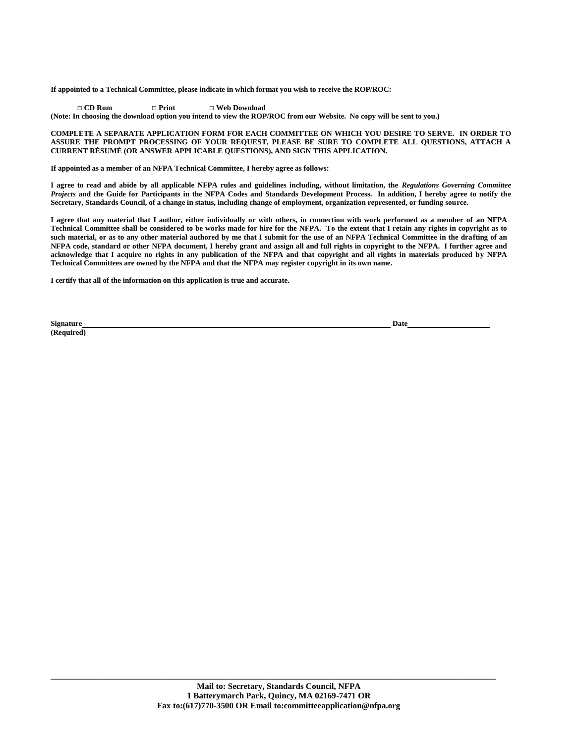**If appointed to a Technical Committee, please indicate in which format you wish to receive the ROP/ROC:**

 **□ CD Rom □ Print □ Web Download (Note: In choosing the download option you intend to view the ROP/ROC from our Website. No copy will be sent to you.)**

### **COMPLETE A SEPARATE APPLICATION FORM FOR EACH COMMITTEE ON WHICH YOU DESIRE TO SERVE. IN ORDER TO ASSURE THE PROMPT PROCESSING OF YOUR REQUEST, PLEASE BE SURE TO COMPLETE ALL QUESTIONS, ATTACH A CURRENT RÉSUMÉ (OR ANSWER APPLICABLE QUESTIONS), AND SIGN THIS APPLICATION.**

**If appointed as a member of an NFPA Technical Committee, I hereby agree as follows:**

**I agree to read and abide by all applicable NFPA rules and guidelines including, without limitation, the** *Regulations Governing Committee Projects* **and the Guide for Participants in the NFPA Codes and Standards Development Process. In addition, I hereby agree to notify the Secretary, Standards Council, of a change in status, including change of employment, organization represented, or funding source.**

**I agree that any material that I author, either individually or with others, in connection with work performed as a member of an NFPA Technical Committee shall be considered to be works made for hire for the NFPA. To the extent that I retain any rights in copyright as to such material, or as to any other material authored by me that I submit for the use of an NFPA Technical Committee in the drafting of an NFPA code, standard or other NFPA document, I hereby grant and assign all and full rights in copyright to the NFPA. I further agree and acknowledge that I acquire no rights in any publication of the NFPA and that copyright and all rights in materials produced by NFPA Technical Committees are owned by the NFPA and that the NFPA may register copyright in its own name.**

**I certify that all of the information on this application is true and accurate.**

**Signature Date (Required)**

\_\_\_\_\_\_\_\_\_\_\_\_\_\_\_\_\_\_\_\_\_\_\_\_\_\_\_\_\_\_\_\_\_\_\_\_\_\_\_\_\_\_\_\_\_\_\_\_\_\_\_\_\_\_\_\_\_\_\_\_\_\_\_\_\_\_\_\_\_\_\_\_\_\_\_\_\_\_\_